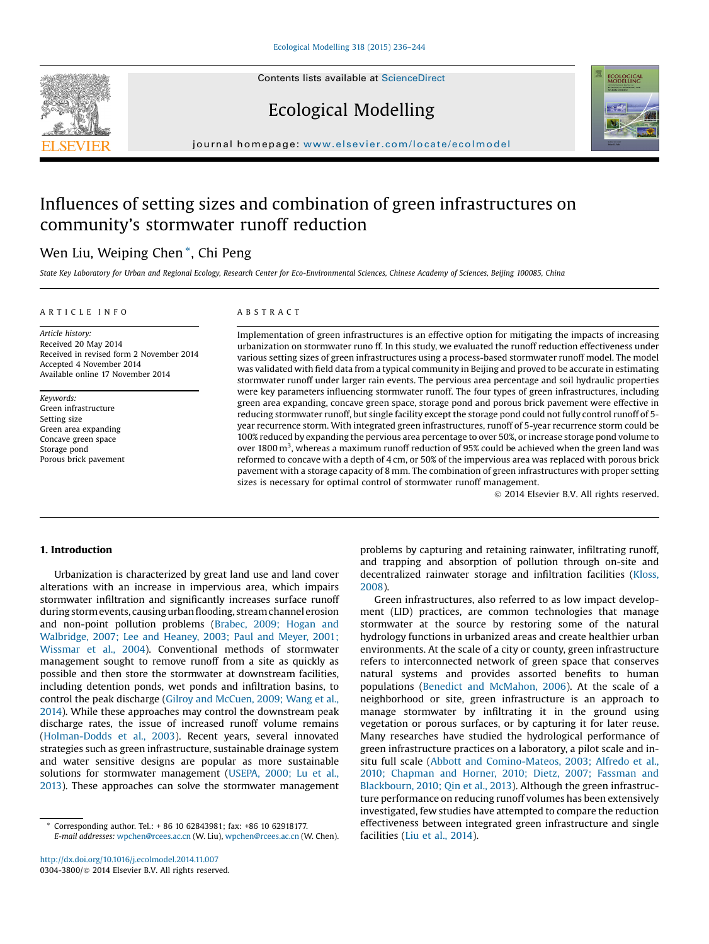Contents lists available at [ScienceDirect](http://www.sciencedirect.com/science/journal/03043800)





# Ecological Modelling

journal homepage: <www.elsevier.com/locate/ecolmodel>

# Influences of setting sizes and combination of green infrastructures on community's stormwater runoff reduction

# Wen Liu, Weiping Chen \*, Chi Peng

State Key Laboratory for Urban and Regional Ecology, Research Center for Eco-Environmental Sciences, Chinese Academy of Sciences, Beijing 100085, China

#### A R T I C L E I N F O

# A B S T R A C T

Article history: Received 20 May 2014 Received in revised form 2 November 2014 Accepted 4 November 2014 Available online 17 November 2014

Keywords: Green infrastructure Setting size Green area expanding Concave green space Storage pond Porous brick pavement Implementation of green infrastructures is an effective option for mitigating the impacts of increasing urbanization on stormwater runo ff. In this study, we evaluated the runoff reduction effectiveness under various setting sizes of green infrastructures using a process-based stormwater runoff model. The model was validated with field data from a typical community in Beijing and proved to be accurate in estimating stormwater runoff under larger rain events. The pervious area percentage and soil hydraulic properties were key parameters influencing stormwater runoff. The four types of green infrastructures, including green area expanding, concave green space, storage pond and porous brick pavement were effective in reducing stormwater runoff, but single facility except the storage pond could not fully control runoff of 5 year recurrence storm. With integrated green infrastructures, runoff of 5-year recurrence storm could be 100% reduced by expanding the pervious area percentage to over 50%, or increase storage pond volume to over 1800 m<sup>3</sup>, whereas a maximum runoff reduction of 95% could be achieved when the green land was reformed to concave with a depth of 4 cm, or 50% of the impervious area was replaced with porous brick pavement with a storage capacity of 8 mm. The combination of green infrastructures with proper setting sizes is necessary for optimal control of stormwater runoff management.

ã 2014 Elsevier B.V. All rights reserved.

## 1. Introduction

Urbanization is characterized by great land use and land cover alterations with an increase in impervious area, which impairs stormwater infiltration and significantly increases surface runoff during stormevents, causingurbanflooding, streamchannel erosion and non-point pollution problems [\(Brabec,](#page-7-0) 2009; Hogan and [Walbridge,](#page-7-0) 2007; Lee and Heaney, 2003; Paul and Meyer, 2001; [Wissmar](#page-7-0) et al., 2004). Conventional methods of stormwater management sought to remove runoff from a site as quickly as possible and then store the stormwater at downstream facilities, including detention ponds, wet ponds and infiltration basins, to control the peak discharge (Gilroy and [McCuen,](#page-7-0) 2009; Wang et al., [2014\)](#page-7-0). While these approaches may control the downstream peak discharge rates, the issue of increased runoff volume remains ([Holman-Dodds](#page-7-0) et al., 2003). Recent years, several innovated strategies such as green infrastructure, sustainable drainage system and water sensitive designs are popular as more sustainable solutions for stormwater management [\(USEPA,](#page-7-0) 2000; Lu et al., [2013\)](#page-7-0). These approaches can solve the stormwater management

problems by capturing and retaining rainwater, infiltrating runoff, and trapping and absorption of pollution through on-site and decentralized rainwater storage and infiltration facilities [\(Kloss,](#page-7-0) [2008](#page-7-0)).

Green infrastructures, also referred to as low impact development (LID) practices, are common technologies that manage stormwater at the source by restoring some of the natural hydrology functions in urbanized areas and create healthier urban environments. At the scale of a city or county, green infrastructure refers to interconnected network of green space that conserves natural systems and provides assorted benefits to human populations (Benedict and [McMahon,](#page-7-0) 2006). At the scale of a neighborhood or site, green infrastructure is an approach to manage stormwater by infiltrating it in the ground using vegetation or porous surfaces, or by capturing it for later reuse. Many researches have studied the hydrological performance of green infrastructure practices on a laboratory, a pilot scale and insitu full scale (Abbott and [Comino-Mateos,](#page-7-0) 2003; Alfredo et al., 2010; [Chapman](#page-7-0) and Horner, 2010; Dietz, 2007; Fassman and [Blackbourn,](#page-7-0) 2010; Qin et al., 2013). Although the green infrastructure performance on reducing runoff volumes has been extensively investigated, few studies have attempted to compare the reduction effectiveness between integrated green infrastructure and single facilities (Liu et al., [2014](#page-7-0)).

Corresponding author. Tel.: + 86 10 62843981; fax: +86 10 62918177. E-mail addresses: [wpchen@rcees.ac.cn](mailto:wpchen@rcees.ac.cn) (W. Liu), [wpchen@rcees.ac.cn](mailto:wpchen@rcees.ac.cn) (W. Chen).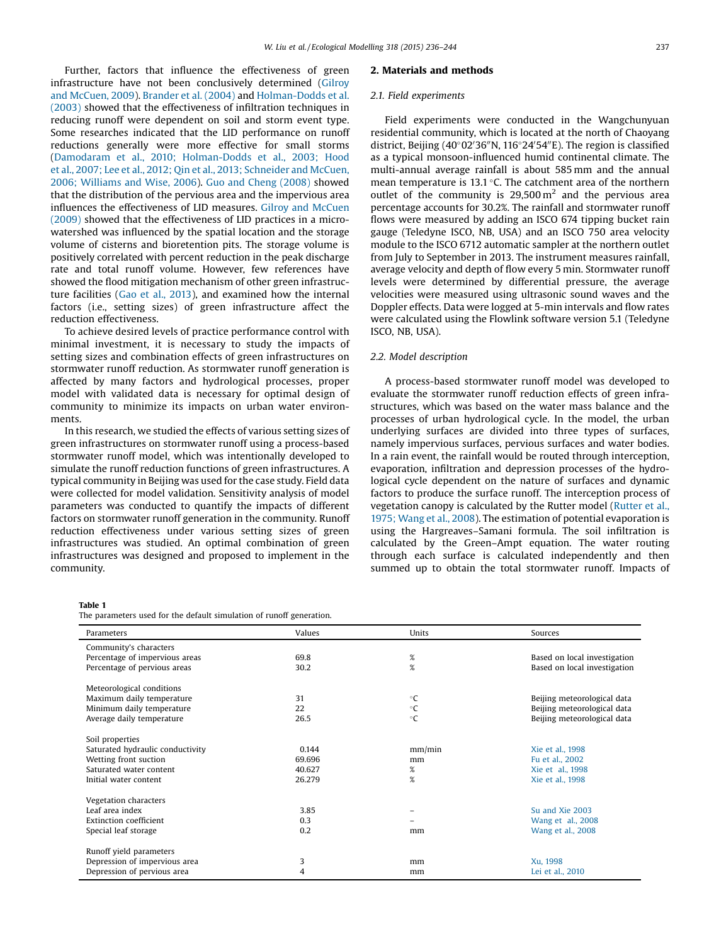<span id="page-1-0"></span>Further, factors that influence the effectiveness of green infrastructure have not been conclusively determined [\(Gilroy](#page-7-0) and [McCuen,](#page-7-0) 2009). [Brander](#page-7-0) et al. (2004) and [Holman-Dodds](#page-7-0) et al. [\(2003\)](#page-7-0) showed that the effectiveness of infiltration techniques in reducing runoff were dependent on soil and storm event type. Some researches indicated that the LID performance on runoff reductions generally were more effective for small storms (Damodaram et al., 2010; [Holman-Dodds](#page-7-0) et al., 2003; Hood et al., 2007; Lee et al., 2012; Qin et al., 2013; [Schneider](#page-7-0) and McCuen, 2006; [Williams](#page-7-0) and Wise, 2006). Guo and Cheng [\(2008\)](#page-7-0) showed that the distribution of the pervious area and the impervious area influences the effectiveness of LID measures. Gilroy and [McCuen](#page-7-0) [\(2009\)](#page-7-0) showed that the effectiveness of LID practices in a microwatershed was influenced by the spatial location and the storage volume of cisterns and bioretention pits. The storage volume is positively correlated with percent reduction in the peak discharge rate and total runoff volume. However, few references have showed the flood mitigation mechanism of other green infrastructure facilities (Gao et al., [2013](#page-7-0)), and examined how the internal factors (i.e., setting sizes) of green infrastructure affect the reduction effectiveness.

To achieve desired levels of practice performance control with minimal investment, it is necessary to study the impacts of setting sizes and combination effects of green infrastructures on stormwater runoff reduction. As stormwater runoff generation is affected by many factors and hydrological processes, proper model with validated data is necessary for optimal design of community to minimize its impacts on urban water environments.

In this research, we studied the effects of various setting sizes of green infrastructures on stormwater runoff using a process-based stormwater runoff model, which was intentionally developed to simulate the runoff reduction functions of green infrastructures. A typical community in Beijing was used for the case study. Field data were collected for model validation. Sensitivity analysis of model parameters was conducted to quantify the impacts of different factors on stormwater runoff generation in the community. Runoff reduction effectiveness under various setting sizes of green infrastructures was studied. An optimal combination of green infrastructures was designed and proposed to implement in the community.

#### 2. Materials and methods

#### 2.1. Field experiments

Field experiments were conducted in the Wangchunyuan residential community, which is located at the north of Chaoyang district, Beijing (40°02'36"N, 116°24'54"E). The region is classified as a typical monsoon-influenced humid continental climate. The multi-annual average rainfall is about 585 mm and the annual mean temperature is 13.1  $\degree$ C. The catchment area of the northern outlet of the community is  $29,500 \,\mathrm{m}^2$  and the pervious area percentage accounts for 30.2%. The rainfall and stormwater runoff flows were measured by adding an ISCO 674 tipping bucket rain gauge (Teledyne ISCO, NB, USA) and an ISCO 750 area velocity module to the ISCO 6712 automatic sampler at the northern outlet from July to September in 2013. The instrument measures rainfall, average velocity and depth of flow every 5 min. Stormwater runoff levels were determined by differential pressure, the average velocities were measured using ultrasonic sound waves and the Doppler effects. Data were logged at 5-min intervals and flow rates were calculated using the Flowlink software version 5.1 (Teledyne ISCO, NB, USA).

#### 2.2. Model description

A process-based stormwater runoff model was developed to evaluate the stormwater runoff reduction effects of green infrastructures, which was based on the water mass balance and the processes of urban hydrological cycle. In the model, the urban underlying surfaces are divided into three types of surfaces, namely impervious surfaces, pervious surfaces and water bodies. In a rain event, the rainfall would be routed through interception, evaporation, infiltration and depression processes of the hydrological cycle dependent on the nature of surfaces and dynamic factors to produce the surface runoff. The interception process of vegetation canopy is calculated by the Rutter model ([Rutter](#page-7-0) et al., 1975; [Wang](#page-7-0) et al., 2008). The estimation of potential evaporation is using the Hargreaves–Samani formula. The soil infiltration is calculated by the Green–Ampt equation. The water routing through each surface is calculated independently and then summed up to obtain the total stormwater runoff. Impacts of

#### Table 1

The parameters used for the default simulation of runoff generation.

| Parameters                       | Values | Units        | Sources                      |
|----------------------------------|--------|--------------|------------------------------|
| Community's characters           |        |              |                              |
| Percentage of impervious areas   | 69.8   | $\%$         | Based on local investigation |
| Percentage of pervious areas     | 30.2   | $\%$         | Based on local investigation |
| Meteorological conditions        |        |              |                              |
| Maximum daily temperature        | 31     | $\circ$ C    | Beijing meteorological data  |
| Minimum daily temperature        | 22     | $^{\circ}$ C | Beijing meteorological data  |
| Average daily temperature        | 26.5   | $^{\circ}$ C | Beijing meteorological data  |
| Soil properties                  |        |              |                              |
| Saturated hydraulic conductivity | 0.144  | mm/min       | Xie et al., 1998             |
| Wetting front suction            | 69.696 | mm           | Fu et al., 2002              |
| Saturated water content          | 40.627 | %            | Xie et al., 1998             |
| Initial water content            | 26.279 | $\%$         | Xie et al., 1998             |
| Vegetation characters            |        |              |                              |
| Leaf area index                  | 3.85   |              | Su and Xie 2003              |
| <b>Extinction coefficient</b>    | 0.3    |              | Wang et al., 2008            |
| Special leaf storage             | 0.2    | mm           | Wang et al., 2008            |
| Runoff yield parameters          |        |              |                              |
| Depression of impervious area    | 3      | mm           | Xu, 1998                     |
| Depression of pervious area      | 4      | mm           | Lei et al., 2010             |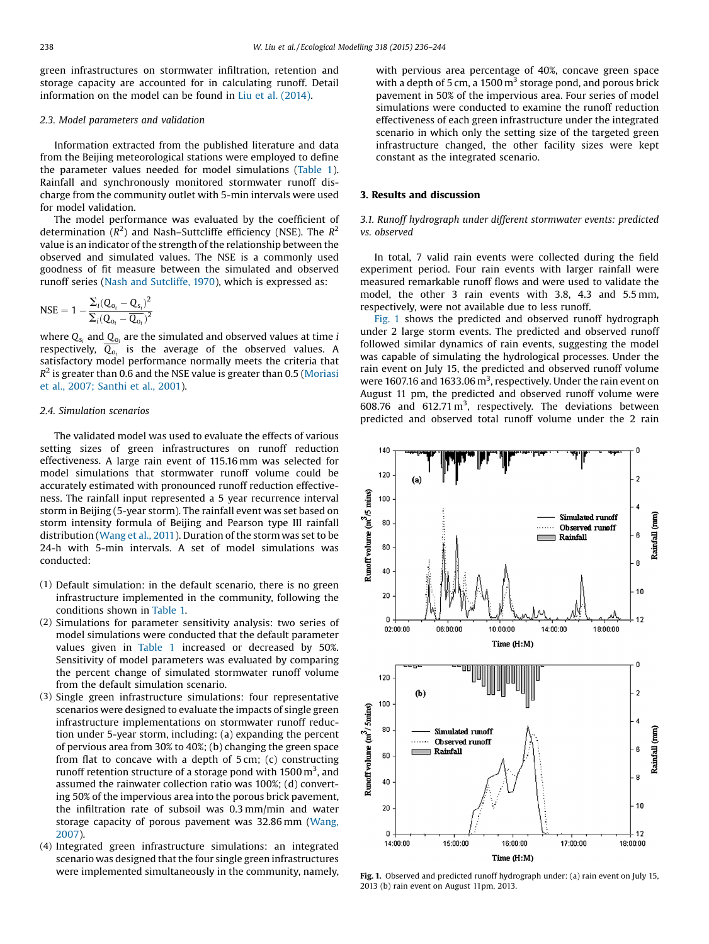green infrastructures on stormwater infiltration, retention and storage capacity are accounted for in calculating runoff. Detail information on the model can be found in Liu et al. [\(2014\)](#page-7-0).

# 2.3. Model parameters and validation

Information extracted from the published literature and data from the Beijing meteorological stations were employed to define the parameter values needed for model simulations [\(Table](#page-1-0) 1). Rainfall and synchronously monitored stormwater runoff discharge from the community outlet with 5-min intervals were used for model validation.

The model performance was evaluated by the coefficient of determination ( $R^2$ ) and Nash–Suttcliffe efficiency (NSE). The  $R^2$ value is an indicator of the strength of the relationship between the observed and simulated values. The NSE is a commonly used goodness of fit measure between the simulated and observed runoff series (Nash and [Sutcliffe,](#page-7-0) 1970), which is expressed as:

$$
\text{NSE} = 1 - \frac{\Sigma_i (Q_{o_i} - Q_{s_i})^2}{\Sigma_i (Q_{o_i} - \overline{Q_{o_i}})^2}
$$

where  $Q_{s_i}$  and  $Q_{o_i}$  are the simulated and observed values at time *i* respectively,  $\overline{Q_{o_i}}$  is the average of the observed values. A satisfactory model performance normally meets the criteria that  $R<sup>2</sup>$  is greater than 0.6 and the NSE value is greater than 0.5 ([Moriasi](#page-7-0) et al., 2007; [Santhi](#page-7-0) et al., 2001).

#### 2.4. Simulation scenarios

The validated model was used to evaluate the effects of various setting sizes of green infrastructures on runoff reduction effectiveness. A large rain event of 115.16 mm was selected for model simulations that stormwater runoff volume could be accurately estimated with pronounced runoff reduction effectiveness. The rainfall input represented a 5 year recurrence interval storm in Beijing (5-year storm). The rainfall event was set based on storm intensity formula of Beijing and Pearson type III rainfall distribution ([Wang](#page-8-0) et al., 2011). Duration of the storm was set to be 24-h with 5-min intervals. A set of model simulations was conducted:

- (1) Default simulation: in the default scenario, there is no green infrastructure implemented in the community, following the conditions shown in [Table](#page-1-0) 1.
- (2) Simulations for parameter sensitivity analysis: two series of model simulations were conducted that the default parameter values given in [Table](#page-1-0) 1 increased or decreased by 50%. Sensitivity of model parameters was evaluated by comparing the percent change of simulated stormwater runoff volume from the default simulation scenario.
- (3) Single green infrastructure simulations: four representative scenarios were designed to evaluate the impacts of single green infrastructure implementations on stormwater runoff reduction under 5-year storm, including: (a) expanding the percent of pervious area from 30% to 40%; (b) changing the green space from flat to concave with a depth of 5 cm; (c) constructing runoff retention structure of a storage pond with 1500  $\mathrm{m}^{3}$ , and assumed the rainwater collection ratio was 100%; (d) converting 50% of the impervious area into the porous brick pavement, the infiltration rate of subsoil was 0.3 mm/min and water storage capacity of porous pavement was 32.86 mm ([Wang,](#page-8-0) [2007](#page-8-0)).
- (4) Integrated green infrastructure simulations: an integrated scenario was designed that the four single green infrastructures were implemented simultaneously in the community, namely,

with pervious area percentage of 40%, concave green space with a depth of 5 cm, a  $1500 \text{ m}^3$  storage pond, and porous brick pavement in 50% of the impervious area. Four series of model simulations were conducted to examine the runoff reduction effectiveness of each green infrastructure under the integrated scenario in which only the setting size of the targeted green infrastructure changed, the other facility sizes were kept constant as the integrated scenario.

# 3. Results and discussion

## 3.1. Runoff hydrograph under different stormwater events: predicted vs. observed

In total, 7 valid rain events were collected during the field experiment period. Four rain events with larger rainfall were measured remarkable runoff flows and were used to validate the model, the other 3 rain events with 3.8, 4.3 and 5.5 mm, respectively, were not available due to less runoff.

Fig. 1 shows the predicted and observed runoff hydrograph under 2 large storm events. The predicted and observed runoff followed similar dynamics of rain events, suggesting the model was capable of simulating the hydrological processes. Under the rain event on July 15, the predicted and observed runoff volume were 1607.16 and 1633.06 m<sup>3</sup>, respectively. Under the rain event on August 11 pm, the predicted and observed runoff volume were 608.76 and  $612.71 \text{ m}^3$ , respectively. The deviations between predicted and observed total runoff volume under the 2 rain



Fig. 1. Observed and predicted runoff hydrograph under: (a) rain event on July 15, 2013 (b) rain event on August 11pm, 2013.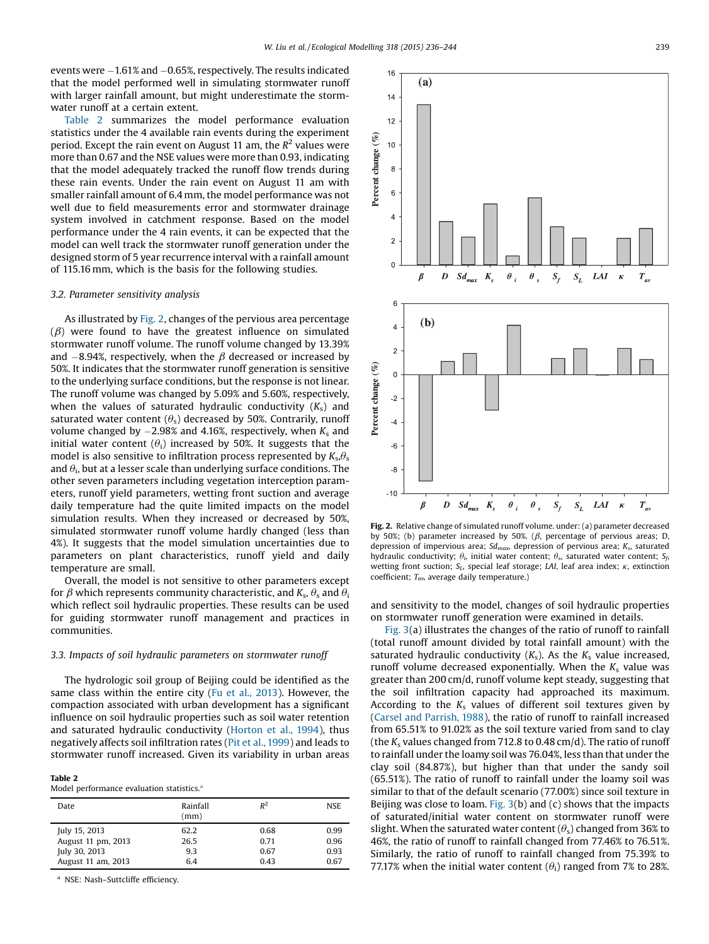events were  $-1.61\%$  and  $-0.65\%$ , respectively. The results indicated that the model performed well in simulating stormwater runoff with larger rainfall amount, but might underestimate the stormwater runoff at a certain extent.

Table 2 summarizes the model performance evaluation statistics under the 4 available rain events during the experiment period. Except the rain event on August 11 am, the  $R^2$  values were more than 0.67 and the NSE values were more than 0.93, indicating that the model adequately tracked the runoff flow trends during these rain events. Under the rain event on August 11 am with smaller rainfall amount of 6.4 mm, the model performance was not well due to field measurements error and stormwater drainage system involved in catchment response. Based on the model performance under the 4 rain events, it can be expected that the model can well track the stormwater runoff generation under the designed storm of 5 year recurrence interval with a rainfall amount of 115.16 mm, which is the basis for the following studies.

#### 3.2. Parameter sensitivity analysis

As illustrated by Fig. 2, changes of the pervious area percentage  $(\beta)$  were found to have the greatest influence on simulated stormwater runoff volume. The runoff volume changed by 13.39% and  $-8.94%$ , respectively, when the  $\beta$  decreased or increased by 50%. It indicates that the stormwater runoff generation is sensitive to the underlying surface conditions, but the response is not linear. The runoff volume was changed by 5.09% and 5.60%, respectively, when the values of saturated hydraulic conductivity  $(K_s)$  and saturated water content  $(\theta_s)$  decreased by 50%. Contrarily, runoff volume changed by  $-2.98\%$  and 4.16%, respectively, when  $K_s$  and initial water content  $(\theta_i)$  increased by 50%. It suggests that the model is also sensitive to infiltration process represented by  $K_s \theta_s$ and  $\theta_i$ , but at a lesser scale than underlying surface conditions. The other seven parameters including vegetation interception parameters, runoff yield parameters, wetting front suction and average daily temperature had the quite limited impacts on the model simulation results. When they increased or decreased by 50%, simulated stormwater runoff volume hardly changed (less than 4%). It suggests that the model simulation uncertainties due to parameters on plant characteristics, runoff yield and daily temperature are small.

Overall, the model is not sensitive to other parameters except for  $\beta$  which represents community characteristic, and  $K_s$ ,  $\theta_s$  and  $\theta_i$ which reflect soil hydraulic properties. These results can be used for guiding stormwater runoff management and practices in communities.

# 3.3. Impacts of soil hydraulic parameters on stormwater runoff

The hydrologic soil group of Beijing could be identified as the same class within the entire city (Fu et al., [2013](#page-7-0)). However, the compaction associated with urban development has a significant influence on soil hydraulic properties such as soil water retention and saturated hydraulic conductivity ([Horton](#page-7-0) et al., 1994), thus negatively affects soil infiltration rates (Pit et [al.,1999](#page-7-0)) and leads to stormwater runoff increased. Given its variability in urban areas

Table 2

Model performance evaluation statistics.<sup>a</sup>

| Date               | Rainfall<br>(mm) | $R^2$ | <b>NSE</b> |
|--------------------|------------------|-------|------------|
| July 15, 2013      | 62.2             | 0.68  | 0.99       |
| August 11 pm, 2013 | 26.5             | 0.71  | 0.96       |
| July 30, 2013      | 9.3              | 0.67  | 0.93       |
| August 11 am, 2013 | 6.4              | 0.43  | 0.67       |

<sup>a</sup> NSE: Nash–Suttcliffe efficiency.



Fig. 2. Relative change of simulated runoff volume. under: (a) parameter decreased by 50%; (b) parameter increased by 50%. ( $\beta$ , percentage of pervious areas; D, depression of impervious area;  $Sd_{max}$ , depression of pervious area;  $K_s$ , saturated hydraulic conductivity;  $\theta_i$ , initial water content;  $\theta_s$ , saturated water content;  $S_f$ , wetting front suction;  $S_L$ , special leaf storage; LAI, leaf area index;  $\kappa$ , extinction coefficient;  $T_{av}$  average daily temperature.)

and sensitivity to the model, changes of soil hydraulic properties on stormwater runoff generation were examined in details.

[Fig.](#page-4-0) 3(a) illustrates the changes of the ratio of runoff to rainfall (total runoff amount divided by total rainfall amount) with the saturated hydraulic conductivity  $(K_s)$ . As the  $K_s$  value increased, runoff volume decreased exponentially. When the  $K_s$  value was greater than 200 cm/d, runoff volume kept steady, suggesting that the soil infiltration capacity had approached its maximum. According to the  $K_s$  values of different soil textures given by (Carsel and [Parrish,](#page-7-0) 1988), the ratio of runoff to rainfall increased from 65.51% to 91.02% as the soil texture varied from sand to clay (the  $K_s$  values changed from 712.8 to 0.48 cm/d). The ratio of runoff to rainfall under the loamy soil was 76.04%, less than that under the clay soil (84.87%), but higher than that under the sandy soil (65.51%). The ratio of runoff to rainfall under the loamy soil was similar to that of the default scenario (77.00%) since soil texture in Beijing was close to loam. [Fig.](#page-4-0)  $3(b)$  and (c) shows that the impacts of saturated/initial water content on stormwater runoff were slight. When the saturated water content  $(\theta_s)$  changed from 36% to 46%, the ratio of runoff to rainfall changed from 77.46% to 76.51%. Similarly, the ratio of runoff to rainfall changed from 75.39% to 77.17% when the initial water content  $(\theta_i)$  ranged from 7% to 28%.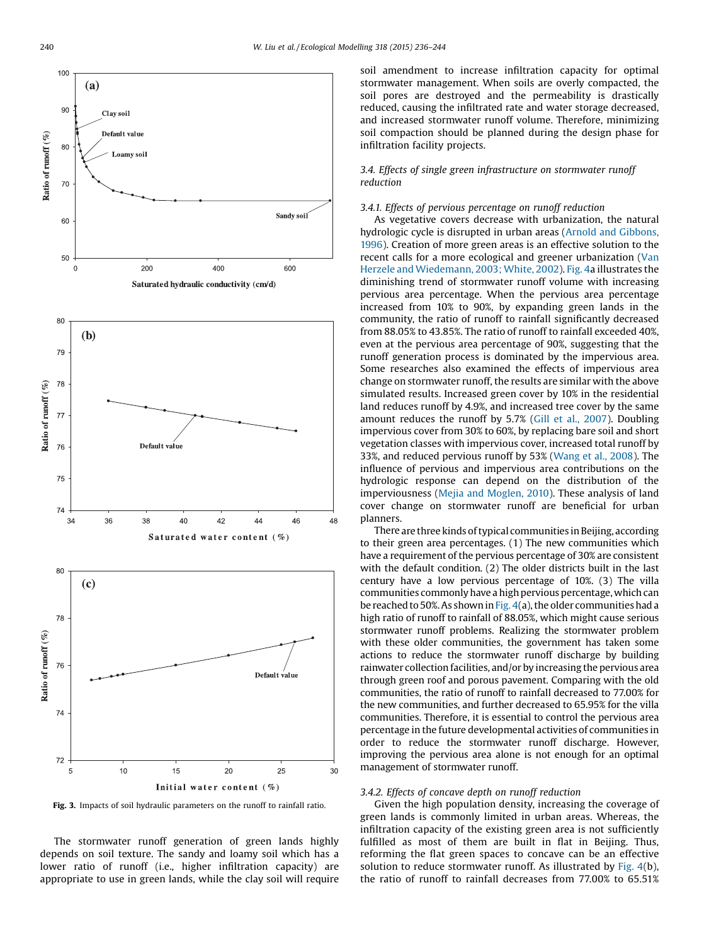<span id="page-4-0"></span>

Fig. 3. Impacts of soil hydraulic parameters on the runoff to rainfall ratio.

The stormwater runoff generation of green lands highly depends on soil texture. The sandy and loamy soil which has a lower ratio of runoff (i.e., higher infiltration capacity) are appropriate to use in green lands, while the clay soil will require soil amendment to increase infiltration capacity for optimal stormwater management. When soils are overly compacted, the soil pores are destroyed and the permeability is drastically reduced, causing the infiltrated rate and water storage decreased, and increased stormwater runoff volume. Therefore, minimizing soil compaction should be planned during the design phase for infiltration facility projects.

# 3.4. Effects of single green infrastructure on stormwater runoff reduction

# 3.4.1. Effects of pervious percentage on runoff reduction

As vegetative covers decrease with urbanization, the natural hydrologic cycle is disrupted in urban areas (Arnold and [Gibbons,](#page-7-0) [1996](#page-7-0)). Creation of more green areas is an effective solution to the recent calls for a more ecological and greener urbanization ([Van](#page-7-0) Herzele and [Wiedemann,](#page-7-0) 2003; White, 2002). [Fig.](#page-5-0) 4a illustrates the diminishing trend of stormwater runoff volume with increasing pervious area percentage. When the pervious area percentage increased from 10% to 90%, by expanding green lands in the community, the ratio of runoff to rainfall significantly decreased from 88.05% to 43.85%. The ratio of runoff to rainfall exceeded 40%, even at the pervious area percentage of 90%, suggesting that the runoff generation process is dominated by the impervious area. Some researches also examined the effects of impervious area change on stormwater runoff, the results are similar with the above simulated results. Increased green cover by 10% in the residential land reduces runoff by 4.9%, and increased tree cover by the same amount reduces the runoff by 5.7% (Gill et al., [2007](#page-7-0)). Doubling impervious cover from 30% to 60%, by replacing bare soil and short vegetation classes with impervious cover, increased total runoff by 33%, and reduced pervious runoff by 53% [\(Wang](#page-8-0) et al., 2008). The influence of pervious and impervious area contributions on the hydrologic response can depend on the distribution of the imperviousness (Mejia and [Moglen,](#page-7-0) 2010). These analysis of land cover change on stormwater runoff are beneficial for urban planners.

There are three kinds of typical communities in Beijing, according to their green area percentages. (1) The new communities which have a requirement of the pervious percentage of 30% are consistent with the default condition. (2) The older districts built in the last century have a low pervious percentage of 10%. (3) The villa communities commonly have a high pervious percentage, which can be reached to 50%. As shown in [Fig.](#page-5-0)  $4(a)$ , the older communities had a high ratio of runoff to rainfall of 88.05%, which might cause serious stormwater runoff problems. Realizing the stormwater problem with these older communities, the government has taken some actions to reduce the stormwater runoff discharge by building rainwater collection facilities, and/or by increasing the pervious area through green roof and porous pavement. Comparing with the old communities, the ratio of runoff to rainfall decreased to 77.00% for the new communities, and further decreased to 65.95% for the villa communities. Therefore, it is essential to control the pervious area percentage in the future developmental activities of communities in order to reduce the stormwater runoff discharge. However, improving the pervious area alone is not enough for an optimal management of stormwater runoff.

#### 3.4.2. Effects of concave depth on runoff reduction

Given the high population density, increasing the coverage of green lands is commonly limited in urban areas. Whereas, the infiltration capacity of the existing green area is not sufficiently fulfilled as most of them are built in flat in Beijing. Thus, reforming the flat green spaces to concave can be an effective solution to reduce stormwater runoff. As illustrated by [Fig.](#page-5-0) 4(b), the ratio of runoff to rainfall decreases from 77.00% to 65.51%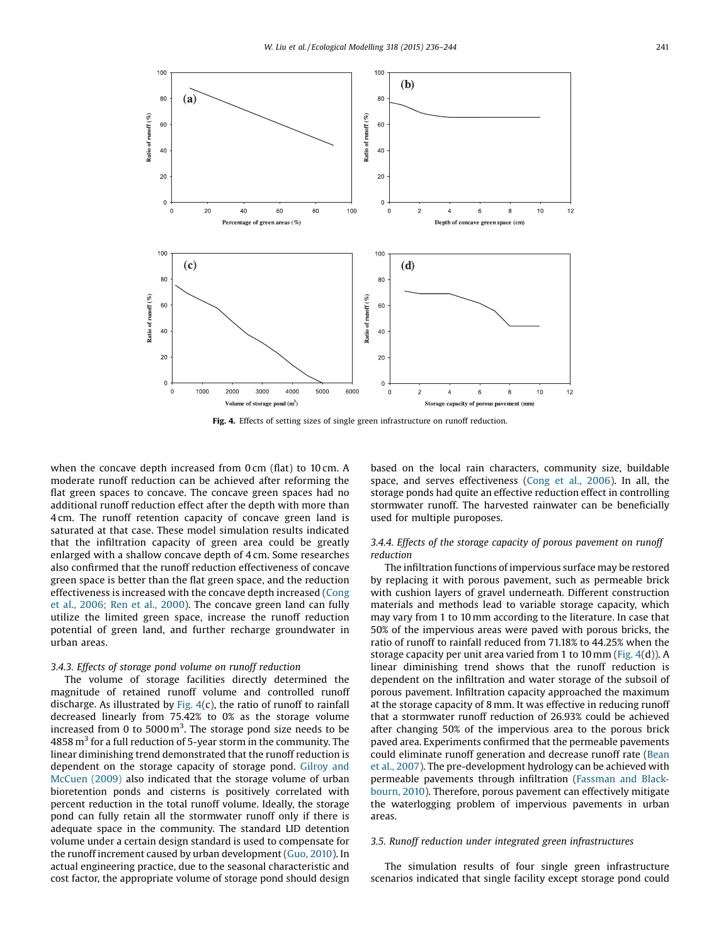<span id="page-5-0"></span>

Fig. 4. Effects of setting sizes of single green infrastructure on runoff reduction.

when the concave depth increased from 0 cm (flat) to 10 cm. A moderate runoff reduction can be achieved after reforming the flat green spaces to concave. The concave green spaces had no additional runoff reduction effect after the depth with more than 4 cm. The runoff retention capacity of concave green land is saturated at that case. These model simulation results indicated that the infiltration capacity of green area could be greatly enlarged with a shallow concave depth of 4 cm. Some researches also confirmed that the runoff reduction effectiveness of concave green space is better than the flat green space, and the reduction effectiveness is increased with the concave depth increased [\(Cong](#page-7-0) et al., [2006;](#page-7-0) Ren et al., 2000). The concave green land can fully utilize the limited green space, increase the runoff reduction potential of green land, and further recharge groundwater in urban areas.

#### 3.4.3. Effects of storage pond volume on runoff reduction

The volume of storage facilities directly determined the magnitude of retained runoff volume and controlled runoff discharge. As illustrated by Fig.  $4(c)$ , the ratio of runoff to rainfall decreased linearly from 75.42% to 0% as the storage volume increased from 0 to 5000  $m^3$ . The storage pond size needs to be 4858  $m<sup>3</sup>$  for a full reduction of 5-year storm in the community. The linear diminishing trend demonstrated that the runoff reduction is dependent on the storage capacity of storage pond. [Gilroy](#page-7-0) and [McCuen](#page-7-0) (2009) also indicated that the storage volume of urban bioretention ponds and cisterns is positively correlated with percent reduction in the total runoff volume. Ideally, the storage pond can fully retain all the stormwater runoff only if there is adequate space in the community. The standard LID detention volume under a certain design standard is used to compensate for the runoff increment caused by urban development (Guo, [2010](#page-7-0)). In actual engineering practice, due to the seasonal characteristic and cost factor, the appropriate volume of storage pond should design based on the local rain characters, community size, buildable space, and serves effectiveness (Cong et al., [2006](#page-7-0)). In all, the storage ponds had quite an effective reduction effect in controlling stormwater runoff. The harvested rainwater can be beneficially used for multiple puroposes.

# 3.4.4. Effects of the storage capacity of porous pavement on runoff reduction

The infiltration functions of impervious surface may be restored by replacing it with porous pavement, such as permeable brick with cushion layers of gravel underneath. Different construction materials and methods lead to variable storage capacity, which may vary from 1 to 10 mm according to the literature. In case that 50% of the impervious areas were paved with porous bricks, the ratio of runoff to rainfall reduced from 71.18% to 44.25% when the storage capacity per unit area varied from 1 to 10 mm (Fig. 4(d)). A linear diminishing trend shows that the runoff reduction is dependent on the infiltration and water storage of the subsoil of porous pavement. Infiltration capacity approached the maximum at the storage capacity of 8 mm. It was effective in reducing runoff that a stormwater runoff reduction of 26.93% could be achieved after changing 50% of the impervious area to the porous brick paved area. Experiments confirmed that the permeable pavements could eliminate runoff generation and decrease runoff rate ([Bean](#page-7-0) et al., [2007](#page-7-0)). The pre-development hydrology can be achieved with permeable pavements through infiltration ([Fassman](#page-7-0) and Black[bourn,](#page-7-0) 2010). Therefore, porous pavement can effectively mitigate the waterlogging problem of impervious pavements in urban areas.

#### 3.5. Runoff reduction under integrated green infrastructures

The simulation results of four single green infrastructure scenarios indicated that single facility except storage pond could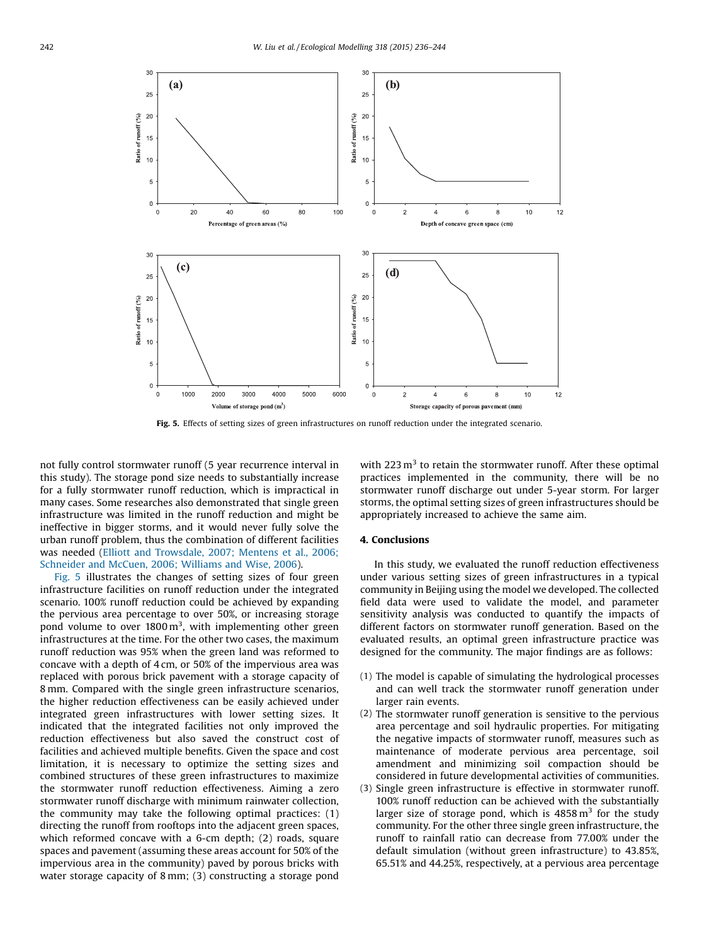

Fig. 5. Effects of setting sizes of green infrastructures on runoff reduction under the integrated scenario.

not fully control stormwater runoff (5 year recurrence interval in this study). The storage pond size needs to substantially increase for a fully stormwater runoff reduction, which is impractical in many cases. Some researches also demonstrated that single green infrastructure was limited in the runoff reduction and might be ineffective in bigger storms, and it would never fully solve the urban runoff problem, thus the combination of different facilities was needed (Elliott and [Trowsdale,](#page-7-0) 2007; Mentens et al., 2006; [Schneider](#page-7-0) and McCuen, 2006; Williams and Wise, 2006).

Fig. 5 illustrates the changes of setting sizes of four green infrastructure facilities on runoff reduction under the integrated scenario. 100% runoff reduction could be achieved by expanding the pervious area percentage to over 50%, or increasing storage pond volume to over  $1800 \,\mathrm{m}^3$ , with implementing other green infrastructures at the time. For the other two cases, the maximum runoff reduction was 95% when the green land was reformed to concave with a depth of 4 cm, or 50% of the impervious area was replaced with porous brick pavement with a storage capacity of 8 mm. Compared with the single green infrastructure scenarios, the higher reduction effectiveness can be easily achieved under integrated green infrastructures with lower setting sizes. It indicated that the integrated facilities not only improved the reduction effectiveness but also saved the construct cost of facilities and achieved multiple benefits. Given the space and cost limitation, it is necessary to optimize the setting sizes and combined structures of these green infrastructures to maximize the stormwater runoff reduction effectiveness. Aiming a zero stormwater runoff discharge with minimum rainwater collection, the community may take the following optimal practices: (1) directing the runoff from rooftops into the adjacent green spaces, which reformed concave with a 6-cm depth; (2) roads, square spaces and pavement (assuming these areas account for 50% of the impervious area in the community) paved by porous bricks with water storage capacity of 8 mm; (3) constructing a storage pond

with 223  $m<sup>3</sup>$  to retain the stormwater runoff. After these optimal practices implemented in the community, there will be no stormwater runoff discharge out under 5-year storm. For larger storms, the optimal setting sizes of green infrastructures should be appropriately increased to achieve the same aim.

## 4. Conclusions

In this study, we evaluated the runoff reduction effectiveness under various setting sizes of green infrastructures in a typical community in Beijing using the model we developed. The collected field data were used to validate the model, and parameter sensitivity analysis was conducted to quantify the impacts of different factors on stormwater runoff generation. Based on the evaluated results, an optimal green infrastructure practice was designed for the community. The major findings are as follows:

- (1) The model is capable of simulating the hydrological processes and can well track the stormwater runoff generation under larger rain events.
- (2) The stormwater runoff generation is sensitive to the pervious area percentage and soil hydraulic properties. For mitigating the negative impacts of stormwater runoff, measures such as maintenance of moderate pervious area percentage, soil amendment and minimizing soil compaction should be considered in future developmental activities of communities.
- (3) Single green infrastructure is effective in stormwater runoff. 100% runoff reduction can be achieved with the substantially larger size of storage pond, which is  $4858 \text{ m}^3$  for the study community. For the other three single green infrastructure, the runoff to rainfall ratio can decrease from 77.00% under the default simulation (without green infrastructure) to 43.85%, 65.51% and 44.25%, respectively, at a pervious area percentage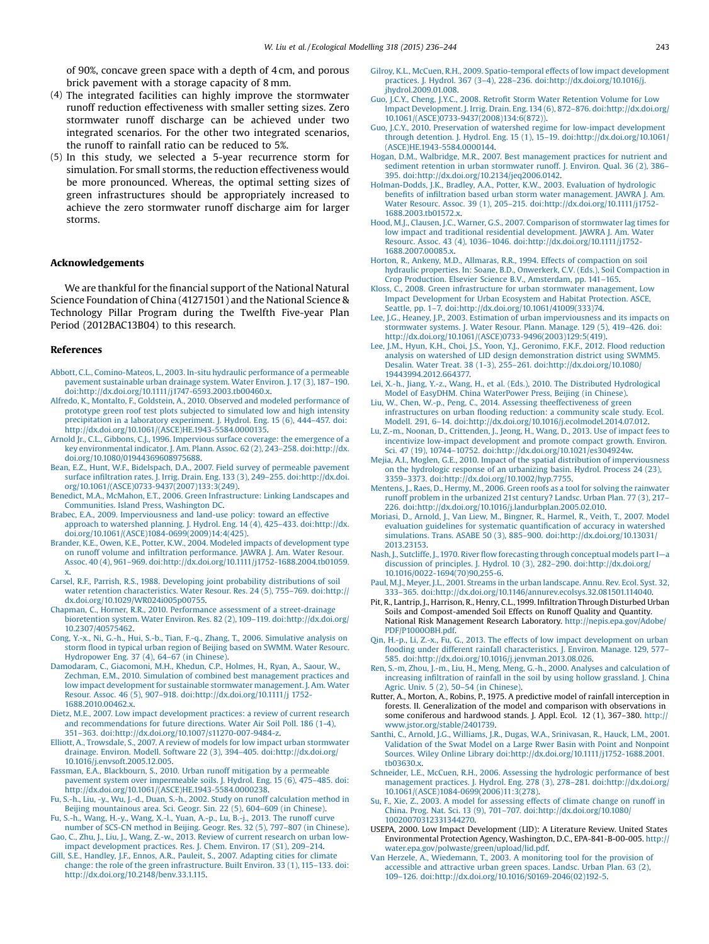<span id="page-7-0"></span>of 90%, concave green space with a depth of 4 cm, and porous brick pavement with a storage capacity of 8 mm.

- (4) The integrated facilities can highly improve the stormwater runoff reduction effectiveness with smaller setting sizes. Zero stormwater runoff discharge can be achieved under two integrated scenarios. For the other two integrated scenarios, the runoff to rainfall ratio can be reduced to 5%.
- (5) In this study, we selected a 5-year recurrence storm for simulation. For small storms, the reduction effectiveness would be more pronounced. Whereas, the optimal setting sizes of green infrastructures should be appropriately increased to achieve the zero stormwater runoff discharge aim for larger storms.

#### Acknowledgements

We are thankful for the financial support of the National Natural Science Foundation of China (41271501) and the National Science & Technology Pillar Program during the Twelfth Five-year Plan Period (2012BAC13B04) to this research.

#### References

- Abbott, C.L., [Comino-Mateos,](http://refhub.elsevier.com/S0304-3800(14)00565-1/sbref0005) L., 2003. In-situ hydraulic performance of a permeable pavement [sustainable](http://refhub.elsevier.com/S0304-3800(14)00565-1/sbref0005) urban drainage system. Water Environ. J. 17 (3), 187–190. [doi:http://dx.doi.org/10.1111/j1747-6593.2003.tb00460.x.](http://refhub.elsevier.com/S0304-3800(14)00565-1/sbref0005)
- Alfredo, K., Montalto, F., Goldstein, A., 2010. Observed and modeled [performance](http://refhub.elsevier.com/S0304-3800(14)00565-1/sbref0010) of prototype green roof test plots subjected to [simulated](http://refhub.elsevier.com/S0304-3800(14)00565-1/sbref0010) low and high intensity [precipitation](http://refhub.elsevier.com/S0304-3800(14)00565-1/sbref0010) in a laboratory experiment. J. Hydrol. Eng. 15 (6), 444–457. doi: [http://dx.doi.org/10.1061/\(ASCE\)HE.1943-5584.0000135](http://dx.doi.org/10.1111/j1747-6593.2003.tb00460.x).
- Arnold Jr., C.L., Gibbons, C.J., 1996. [Impervious](http://refhub.elsevier.com/S0304-3800(14)00565-1/sbref0015) surface coverage: the emergence of a key [environmental](http://refhub.elsevier.com/S0304-3800(14)00565-1/sbref0015) indicator. J. Am. Plann. Assoc. 62 (2), 243–258. doi:http://dx. [doi.org/10.1080/01944369608975688](http://dx.doi.org/10.1111/j1747-6593.2003.tb00460.x).
- Bean, E.Z., Hunt, W.F., [Bidelspach,](http://refhub.elsevier.com/S0304-3800(14)00565-1/sbref0020) D.A., 2007. Field survey of permeable pavement surface infiltration rates. J. Irrig. Drain. Eng. 133 (3), 249–255. [doi:http://dx.doi.](http://refhub.elsevier.com/S0304-3800(14)00565-1/sbref0020) [org/10.1061/\(ASCE\)0733-9437\(2007\)133:3\(249\).](http://dx.doi.org/10.1111/j1747-6593.2003.tb00460.x)
- Benedict, M.A., McMahon, E.T., 2006. Green [Infrastructure:](http://refhub.elsevier.com/S0304-3800(14)00565-1/sbref0025) Linking Landscapes and [Communities.](http://refhub.elsevier.com/S0304-3800(14)00565-1/sbref0025) Island Press, Washington DC.
- Brabec, E.A., 2009. [Imperviousness](http://refhub.elsevier.com/S0304-3800(14)00565-1/sbref0030) and land-use policy: toward an effective approach to watershed planning. J. Hydrol. Eng. 14 (4), 425–433. [doi:http://dx.](http://refhub.elsevier.com/S0304-3800(14)00565-1/sbref0030) [doi.org/10.1061/\(ASCE\)1084-0699\(2009\)14:4\(425\)](http://dx.doi.org/10.1111/j1747-6593.2003.tb00460.x).
- Brander, K.E., Owen, K.E., Potter, K.W., 2004. Modeled impacts of [development](http://refhub.elsevier.com/S0304-3800(14)00565-1/sbref0035) type on runoff volume and infiltration [performance.](http://refhub.elsevier.com/S0304-3800(14)00565-1/sbref0035) JAWRA J. Am. Water Resour. Assoc. 40 (4), 961–969. [doi:http://dx.doi.org/10.1111/j1752-1688.2004.tb01059.](http://refhub.elsevier.com/S0304-3800(14)00565-1/sbref0035) [x](http://dx.doi.org/10.1111/j1747-6593.2003.tb00460.x).
- Carsel, R.F., Parrish, R.S., 1988. Developing joint probability [distributions](http://refhub.elsevier.com/S0304-3800(14)00565-1/sbref0040) of soil water retention [characteristics.](http://refhub.elsevier.com/S0304-3800(14)00565-1/sbref0040) Water Resour. Res. 24 (5), 755–769. doi:http:// [dx.doi.org/10.1029/WR024i005p00755](http://dx.doi.org/10.1111/j1747-6593.2003.tb00460.x).
- Chapman, C., Horner, R.R., 2010. Performance assessment of a [street-drainage](http://refhub.elsevier.com/S0304-3800(14)00565-1/sbref0045) bioretention system. Water Environ. Res. 82 (2), 109–119. [doi:http://dx.doi.org/](http://refhub.elsevier.com/S0304-3800(14)00565-1/sbref0045) [10.2307/40575462](http://dx.doi.org/10.1111/j1747-6593.2003.tb00460.x).
- Cong, Y.-x., Ni, G.-h., Hui, S.-b., Tian, F.-q., Zhang, T., 2006. [Simulative](http://refhub.elsevier.com/S0304-3800(14)00565-1/sbref0050) analysis on storm flood in typical urban region of Beijing based on SWMM. Water [Resourc.](http://refhub.elsevier.com/S0304-3800(14)00565-1/sbref0050) [Hydropower](http://refhub.elsevier.com/S0304-3800(14)00565-1/sbref0050) Eng. 37 (4), 64–67 (in Chinese).
- [Damodaram,](http://refhub.elsevier.com/S0304-3800(14)00565-1/sbref0055) C., Giacomoni, M.H., Khedun, C.P., Holmes, H., Ryan, A., Saour, W., Zechman, E.M., 2010. Simulation of combined best [management](http://refhub.elsevier.com/S0304-3800(14)00565-1/sbref0055) practices and low impact development for sustainable stormwater management. J. Am. Water Resour. Assoc. 46 (5), 907–918. [doi:http://dx.doi.org/10.1111/j](http://refhub.elsevier.com/S0304-3800(14)00565-1/sbref0055) 1752- [1688.2010.00462.x.](http://dx.doi.org/10.1111/j1747-6593.2003.tb00460.x)
- Dietz, M.E., 2007. Low impact [development](http://refhub.elsevier.com/S0304-3800(14)00565-1/sbref0060) practices: a review of current research and [recommendations](http://refhub.elsevier.com/S0304-3800(14)00565-1/sbref0060) for future directions. Water Air Soil Poll. 186 (1-4), 351–363. [doi:http://dx.doi.org/10.1007/s11270-007-9484-z.](http://refhub.elsevier.com/S0304-3800(14)00565-1/sbref0060)
- Elliott, A., Trowsdale, S., 2007. A review of models for low impact urban [stormwater](http://refhub.elsevier.com/S0304-3800(14)00565-1/sbref0065) drainage. Environ. Modell. Software 22 (3), 394–405. [doi:http://dx.doi.org/](http://refhub.elsevier.com/S0304-3800(14)00565-1/sbref0065) [10.1016/j.envsoft.2005.12.005](http://dx.doi.org/10.1111/j1747-6593.2003.tb00460.x).
- Fassman, E.A., [Blackbourn,](http://refhub.elsevier.com/S0304-3800(14)00565-1/sbref0070) S., 2010. Urban runoff mitigation by a permeable pavement system over [impermeable](http://refhub.elsevier.com/S0304-3800(14)00565-1/sbref0070) soils. J. Hydrol. Eng. 15 (6), 475–485. doi: [http://dx.doi.org/10.1061/\(ASCE\)HE.1943-5584.0000238.](http://dx.doi.org/10.1111/j1747-6593.2003.tb00460.x)
- Fu, S.-h., Liu, -y., Wu, J.-d., Duan, S.-h., 2002. Study on runoff [calculation](http://refhub.elsevier.com/S0304-3800(14)00565-1/sbref0075) method in Beijing [mountainous](http://refhub.elsevier.com/S0304-3800(14)00565-1/sbref0075) area. Sci. Geogr. Sin. 22 (5), 604–609 (in Chinese).
- Fu, S.-h., Wang, H.-y., [Wang,](http://refhub.elsevier.com/S0304-3800(14)00565-1/sbref0080) X.-l., Yuan, A.-p., Lu, B.-j., 2013. The runoff curve number of SCS-CN method in Beijing. Geogr. Res. 32 (5), 797–807 (in [Chinese\)](http://refhub.elsevier.com/S0304-3800(14)00565-1/sbref0080).
- Gao, C., Zhu, J., Liu, J., Wang, Z.-w., 2013. Review of current [research](http://refhub.elsevier.com/S0304-3800(14)00565-1/sbref0085) on urban lowimpact [development](http://refhub.elsevier.com/S0304-3800(14)00565-1/sbref0085) practices. Res. J. Chem. Environ. 17 (S1), 209–214.
- Gill, S.E., Handley, J.F., Ennos, A.R., Pauleit, S., 2007. [Adapting](http://refhub.elsevier.com/S0304-3800(14)00565-1/sbref0090) cities for climate change: the role of the green [infrastructure.](http://refhub.elsevier.com/S0304-3800(14)00565-1/sbref0090) Built Environ. 33 (1), 115–133. doi: [http://dx.doi.org/10.2148/benv.33.1.115.](http://dx.doi.org/10.1111/j1747-6593.2003.tb00460.x)
- Gilroy, K.L., McCuen, R.H., 2009. [Spatio-temporal](http://refhub.elsevier.com/S0304-3800(14)00565-1/sbref0095) effects of low impact development practices. J. Hydrol. 367 (3–4), 228–236. [doi:http://dx.doi.org/10.1016/j.](http://refhub.elsevier.com/S0304-3800(14)00565-1/sbref0095) [jhydrol.2009.01.008](http://dx.doi.org/10.1111/j1747-6593.2003.tb00460.x).
- Guo, J.C.Y., Cheng, J.Y.C., 2008. Retrofit Storm Water [Retention](http://refhub.elsevier.com/S0304-3800(14)00565-1/sbref0100) Volume for Low Impact Development. J. Irrig. Drain. Eng.134 (6), 872–876. [doi:http://dx.doi.org/](http://refhub.elsevier.com/S0304-3800(14)00565-1/sbref0100) [10.1061/\(ASCE\)0733-9437\(2008\)134:6\(872\)\).](http://dx.doi.org/10.1111/j1747-6593.2003.tb00460.x)
- Guo, J.C.Y., 2010. Preservation of watershed regime for low-impact [development](http://refhub.elsevier.com/S0304-3800(14)00565-1/sbref0105) through detention. J. Hydrol. Eng. 15 (1), 15–19. [doi:http://dx.doi.org/10.1061/](http://refhub.elsevier.com/S0304-3800(14)00565-1/sbref0105) [\(ASCE\)HE.1943-5584.0000144](http://dx.doi.org/10.1111/j1747-6593.2003.tb00460.x).
- Hogan, D.M., Walbridge, M.R., 2007. Best [management](http://refhub.elsevier.com/S0304-3800(14)00565-1/sbref0110) practices for nutrient and sediment retention in urban [stormwater](http://refhub.elsevier.com/S0304-3800(14)00565-1/sbref0110) runoff. J. Environ. Qual. 36 (2), 386– 395. [doi:http://dx.doi.org/10.2134/jeq2006.0142.](http://refhub.elsevier.com/S0304-3800(14)00565-1/sbref0110)
- [Holman-Dodds,](http://refhub.elsevier.com/S0304-3800(14)00565-1/sbref0115) J.K., Bradley, A.A., Potter, K.W., 2003. Evaluation of hydrologic benefits of infiltration based urban storm water [management.](http://refhub.elsevier.com/S0304-3800(14)00565-1/sbref0115) JAWRA J. Am. Water Resourc. Assoc. 39 (1), 205–215. [doi:http://dx.doi.org/10.1111/j1752-](http://refhub.elsevier.com/S0304-3800(14)00565-1/sbref0115) [1688.2003.tb01572.x.](http://dx.doi.org/10.1111/j1747-6593.2003.tb00460.x)
- Hood, M.J., Clausen, J.C., Warner, G.S., 2007. [Comparison](http://refhub.elsevier.com/S0304-3800(14)00565-1/sbref0120) of stormwater lag times for low impact and traditional residential [development.](http://refhub.elsevier.com/S0304-3800(14)00565-1/sbref0120) JAWRA J. Am. Water Resourc. Assoc. 43 (4), 1036–1046. [doi:http://dx.doi.org/10.1111/j1752-](http://refhub.elsevier.com/S0304-3800(14)00565-1/sbref0120) [1688.2007.00085.x](http://dx.doi.org/10.1111/j1747-6593.2003.tb00460.x).
- Horton, R., Ankeny, M.D., Allmaras, R.R., 1994. Effects of [compaction](http://refhub.elsevier.com/S0304-3800(14)00565-1/sbref0125) on soil hydraulic properties. In: Soane, B.D., Onwerkerk, C.V. (Eds.), Soil [Compaction](http://refhub.elsevier.com/S0304-3800(14)00565-1/sbref0125) in Crop Production. Elsevier Science B.V., [Amsterdam,](http://refhub.elsevier.com/S0304-3800(14)00565-1/sbref0125) pp. 141–165.
- Kloss, C., 2008. Green [infrastructure](http://refhub.elsevier.com/S0304-3800(14)00565-1/sbref0130) for urban stormwater management, Low Impact [Development](http://refhub.elsevier.com/S0304-3800(14)00565-1/sbref0130) for Urban Ecosystem and Habitat Protection. ASCE, Seattle, pp. 1–7. [doi:http://dx.doi.org/10.1061/41009\(333\)74](http://refhub.elsevier.com/S0304-3800(14)00565-1/sbref0130).
- Lee, J.G., Heaney, J.P., 2003. Estimation of urban [imperviousness](http://refhub.elsevier.com/S0304-3800(14)00565-1/sbref0135) and its impacts on [stormwater](http://refhub.elsevier.com/S0304-3800(14)00565-1/sbref0135) systems. J. Water Resour. Plann. Manage. 129 (5), 419–426. doi: [http://dx.doi.org/10.1061/\(ASCE\)0733-9496\(2003\)129:5\(419\).](http://dx.doi.org/10.1111/j1747-6593.2003.tb00460.x)
- Lee, J.M., Hyun, K.H., Choi, J.S., Yoon, Y.J., [Geronimo,](http://refhub.elsevier.com/S0304-3800(14)00565-1/sbref0140) F.K.F., 2012. Flood reduction analysis on watershed of LID design [demonstration](http://refhub.elsevier.com/S0304-3800(14)00565-1/sbref0140) district using SWMM5. Desalin. Water Treat. 38 (1-3), 255–261. [doi:http://dx.doi.org/10.1080/](http://refhub.elsevier.com/S0304-3800(14)00565-1/sbref0140) [19443994.2012.664377.](http://dx.doi.org/10.1111/j1747-6593.2003.tb00460.x)
- Lei, X.-h., Jiang, Y.-z., Wang, H., et al. (Eds.), 2010. The Distributed [Hydrological](http://refhub.elsevier.com/S0304-3800(14)00565-1/sbref0145) Model of EasyDHM. China [WaterPower](http://refhub.elsevier.com/S0304-3800(14)00565-1/sbref0145) Press, Beijing (in Chinese).
- Liu, W., Chen, W.-p., Peng, C., 2014. Assessing [theeffectiveness](http://refhub.elsevier.com/S0304-3800(14)00565-1/sbref0150) of green [infrastructures](http://refhub.elsevier.com/S0304-3800(14)00565-1/sbref0150) on urban flooding reduction: a community scale study. Ecol. Modell. 291, 6–14. [doi:http://dx.doi.org/10.1016/j.ecolmodel.2014.07.012](http://refhub.elsevier.com/S0304-3800(14)00565-1/sbref0150).
- Lu, Z.-m., Noonan, D., [Crittenden,](http://refhub.elsevier.com/S0304-3800(14)00565-1/sbref0155) J., Jeong, H., Wang, D., 2013. Use of impact fees to incentivize low-impact [development](http://refhub.elsevier.com/S0304-3800(14)00565-1/sbref0155) and promote compact growth. Environ. Sci. 47 (19), 10744–10752. [doi:http://dx.doi.org/10.1021/es304924w.](http://refhub.elsevier.com/S0304-3800(14)00565-1/sbref0155)
- Mejia, A.I., Moglen, G.E., 2010. Impact of the spatial distribution of [imperviousness](http://refhub.elsevier.com/S0304-3800(14)00565-1/sbref0160) on the hydrologic response of an [urbanizing](http://refhub.elsevier.com/S0304-3800(14)00565-1/sbref0160) basin. Hydrol. Process 24 (23), 3359–3373. [doi:http://dx.doi.org/10.1002/hyp.7755](http://refhub.elsevier.com/S0304-3800(14)00565-1/sbref0160).
- Mentens, J., Raes, D., Hermy, M., 2006. Green roofs as a tool for solving the [rainwater](http://refhub.elsevier.com/S0304-3800(14)00565-1/sbref0165) runoff problem in the [urbanized](http://refhub.elsevier.com/S0304-3800(14)00565-1/sbref0165) 21st century? Landsc. Urban Plan. 77 (3), 217– 226. [doi:http://dx.doi.org/10.1016/j.landurbplan.2005.02.010](http://refhub.elsevier.com/S0304-3800(14)00565-1/sbref0165).
- Moriasi, D., Arnold, J., Van Liew, M., [Bingner,](http://refhub.elsevier.com/S0304-3800(14)00565-1/sbref0170) R., Harmel, R., Veith, T., 2007. Model evaluation guidelines for [systematic](http://refhub.elsevier.com/S0304-3800(14)00565-1/sbref0170) quantification of accuracy in watershed simulations. Trans. ASABE 50 (3), 885–900. [doi:http://dx.doi.org/10.13031/](http://refhub.elsevier.com/S0304-3800(14)00565-1/sbref0170) [2013.23153](http://dx.doi.org/10.1111/j1747-6593.2003.tb00460.x).
- Nash, J., Sutcliffe, J., 1970. River flow [forecasting](http://refhub.elsevier.com/S0304-3800(14)00565-1/sbref0175) through conceptual models part I—a discussion of principles. J. Hydrol. 10 (3), 282–290. [doi:http://dx.doi.org/](http://refhub.elsevier.com/S0304-3800(14)00565-1/sbref0175) [10.1016/0022-1694\(70\)90,255-6](http://dx.doi.org/10.1111/j1747-6593.2003.tb00460.x).
- Paul, M.J., Meyer, J.L., 2001. Streams in the urban [landscape.](http://refhub.elsevier.com/S0304-3800(14)00565-1/sbref0180) Annu. Rev. Ecol. Syst. 32, 333–365. [doi:http://dx.doi.org/10.1146/annurev.ecolsys.32.081501.114040.](http://refhub.elsevier.com/S0304-3800(14)00565-1/sbref0180)
- Pit, R., Lantrip, J., Harrison, R., Henry, C.L., 1999. InfiltrationThrough Disturbed Urban Soils and Compost-amended Soil Effects on Runoff Quality and Quantity. National Risk Management Research Laboratory. [http://nepis.epa.gov/Adobe/](http://nepis.epa.gov/Adobe/PDF/P1000OBH.pdf) [PDF/P1000OBH.pdf](http://nepis.epa.gov/Adobe/PDF/P1000OBH.pdf).
- Qin, H.-p., Li, Z.-x., Fu, G., 2013. The effects of low impact [development](http://refhub.elsevier.com/S0304-3800(14)00565-1/sbref0190) on urban flooding under different rainfall [characteristics.](http://refhub.elsevier.com/S0304-3800(14)00565-1/sbref0190) J. Environ. Manage. 129, 577– 585. [doi:http://dx.doi.org/10.1016/j.jenvman.2013.08.026](http://refhub.elsevier.com/S0304-3800(14)00565-1/sbref0190).
- Ren, S.-m, Zhou, J.-m., Liu, H., Meng, Meng, G.-h., 2000. Analyses and [calculation](http://refhub.elsevier.com/S0304-3800(14)00565-1/sbref0195) of [increasing](http://refhub.elsevier.com/S0304-3800(14)00565-1/sbref0195) infiltration of rainfall in the soil by using hollow grassland. J. China Agric. Univ. 5 (2), 50–54 (in [Chinese\).](http://refhub.elsevier.com/S0304-3800(14)00565-1/sbref0195)
- Rutter, A., Morton, A., Robins, P., 1975. A predictive model of rainfall interception in forests. II. Generalization of the model and comparison with observations in some coniferous and hardwood stands. J. Appl. Ecol. 12 (1), 367–380. [http://](http://www.jstor.org/stable/2401739) [www.jstor.org/stable/2401739.](http://www.jstor.org/stable/2401739)
- Santhi, C., Arnold, J.G., Williams, J.R., Dugas, W.A., [Srinivasan,](http://refhub.elsevier.com/S0304-3800(14)00565-1/sbref0205) R., Hauck, L.M., 2001. [Validation](http://refhub.elsevier.com/S0304-3800(14)00565-1/sbref0205) of the Swat Model on a Large Rwer Basin with Point and Nonpoint Sources. Wiley Online Library [doi:http://dx.doi.org/10.1111/j1752-1688.2001.](http://refhub.elsevier.com/S0304-3800(14)00565-1/sbref0205) [tb03630.x](http://dx.doi.org/10.1111/j1747-6593.2003.tb00460.x).
- Schneider, L.E., McCuen, R.H., 2006. Assessing the hydrologic [performance](http://refhub.elsevier.com/S0304-3800(14)00565-1/sbref0210) of best management practices. J. Hydrol. Eng. 278 (3), 278–281. [doi:http://dx.doi.org/](http://refhub.elsevier.com/S0304-3800(14)00565-1/sbref0210) [10.1061/\(ASCE\)1084-0699\(2006\)11:3\(278\)](http://dx.doi.org/10.1111/j1747-6593.2003.tb00460.x).
- Su, F., Xie, Z., 2003. A model for [assessing](http://refhub.elsevier.com/S0304-3800(14)00565-1/sbref0215) effects of climate change on runoff in China. Prog. Nat. Sci. 13 (9), 701–707. [doi:http://dx.doi.org/10.1080/](http://refhub.elsevier.com/S0304-3800(14)00565-1/sbref0215) [10020070312331344270.](http://dx.doi.org/10.1111/j1747-6593.2003.tb00460.x)
- USEPA, 2000. Low Impact Development (LID): A Literature Review. United States Environmental Protection Agency, Washington, D.C., EPA-841-B-00-005. [http://](http://water.epa.gov/polwaste/green/upload/lid.pdf) [water.epa.gov/polwaste/green/upload/lid.pdf](http://water.epa.gov/polwaste/green/upload/lid.pdf).
- Van Herzele, A., [Wiedemann,](http://refhub.elsevier.com/S0304-3800(14)00565-1/sbref0225) T., 2003. A monitoring tool for the provision of [accessible](http://refhub.elsevier.com/S0304-3800(14)00565-1/sbref0225) and attractive urban green spaces. Landsc. Urban Plan. 63 (2), 109–126. [doi:http://dx.doi.org/10.1016/S0169-2046\(02\)192-5.](http://refhub.elsevier.com/S0304-3800(14)00565-1/sbref0225)